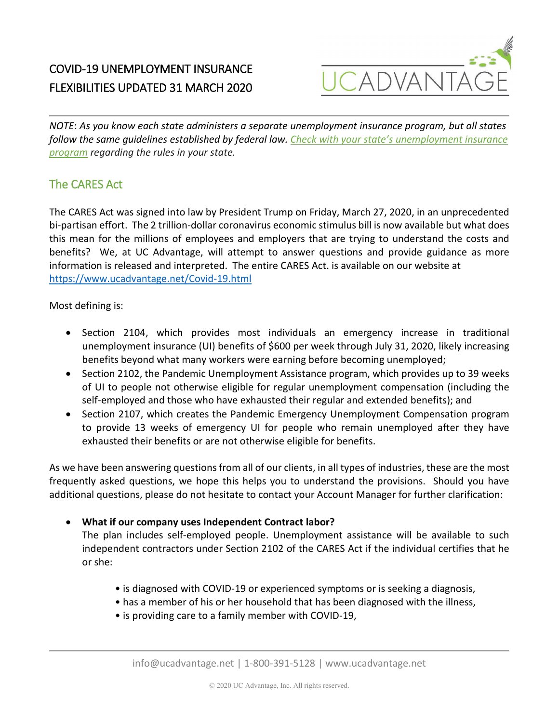

## COVID-19 UNEMPLOYMENT INSURANCE FLEXIBILITIES UPDATED 31 MARCH 2020

*NOTE*: *As you know each state administers a separate unemployment insurance program, but all states follow the same guidelines established by federal law. [Check with your state's unemployment insurance](https://www.careeronestop.org/LocalHelp/UnemploymentBenefits/find-unemployment-benefits.aspx)  [program](https://www.careeronestop.org/LocalHelp/UnemploymentBenefits/find-unemployment-benefits.aspx) regarding the rules in your state.*

### The CARES Act

The CARES Act was signed into law by President Trump on Friday, March 27, 2020, in an unprecedented bi-partisan effort. The 2 trillion-dollar coronavirus economic stimulus bill is now available but what does this mean for the millions of employees and employers that are trying to understand the costs and benefits? We, at UC Advantage, will attempt to answer questions and provide guidance as more information is released and interpreted. The entire CARES Act. is available on our website at <https://www.ucadvantage.net/Covid-19.html>

Most defining is:

- Section 2104, which provides most individuals an emergency increase in traditional unemployment insurance (UI) benefits of \$600 per week through July 31, 2020, likely increasing benefits beyond what many workers were earning before becoming unemployed;
- Section 2102, the Pandemic Unemployment Assistance program, which provides up to 39 weeks of UI to people not otherwise eligible for regular unemployment compensation (including the self-employed and those who have exhausted their regular and extended benefits); and
- Section 2107, which creates the Pandemic Emergency Unemployment Compensation program to provide 13 weeks of emergency UI for people who remain unemployed after they have exhausted their benefits or are not otherwise eligible for benefits.

As we have been answering questions from all of our clients, in all types of industries, these are the most frequently asked questions, we hope this helps you to understand the provisions. Should you have additional questions, please do not hesitate to contact your Account Manager for further clarification:

### • **What if our company uses Independent Contract labor?**

The plan includes self-employed people. Unemployment assistance will be available to such independent contractors under Section 2102 of the CARES Act if the individual certifies that he or she:

- is diagnosed with COVID-19 or experienced symptoms or is seeking a diagnosis,
- has a member of his or her household that has been diagnosed with the illness,
- is providing care to a family member with COVID-19,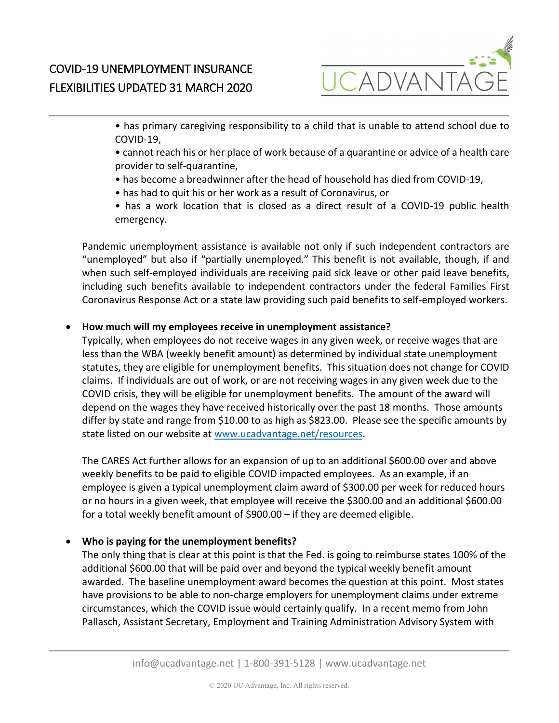

• has primary caregiving responsibility to a child that is unable to attend school due to COVID-19,

- cannot reach his or her place of work because of a quarantine or advice of a health care provider to self-quarantine,
- has become a breadwinner after the head of household has died from COVID-19,
- has had to quit his or her work as a result of Coronavirus, or
- has a work location that is closed as a direct result of a COVID-19 public health emergency.

Pandemic unemployment assistance is available not only if such independent contractors are "unemployed" but also if "partially unemployed." This benefit is not available, though, if and when such self-employed individuals are receiving paid sick leave or other paid leave benefits, including such benefits available to independent contractors under the federal Families First Coronavirus Response Act or a state law providing such paid benefits to self-employed workers.

### • **How much will my employees receive in unemployment assistance?**

Typically, when employees do not receive wages in any given week, or receive wages that are less than the WBA (weekly benefit amount) as determined by individual state unemployment statutes, they are eligible for unemployment benefits. This situation does not change for COVID claims. If individuals are out of work, or are not receiving wages in any given week due to the COVID crisis, they will be eligible for unemployment benefits. The amount of the award will depend on the wages they have received historically over the past 18 months. Those amounts differ by state and range from \$10.00 to as high as \$823.00. Please see the specific amounts by state listed on our website a[t www.ucadvantage.net/resources.](http://www.ucadvantage.net/resources)

The CARES Act further allows for an expansion of up to an additional \$600.00 over and above weekly benefits to be paid to eligible COVID impacted employees. As an example, if an employee is given a typical unemployment claim award of \$300.00 per week for reduced hours or no hours in a given week, that employee will receive the \$300.00 and an additional \$600.00 for a total weekly benefit amount of \$900.00 – if they are deemed eligible.

### • **Who is paying for the unemployment benefits?**

The only thing that is clear at this point is that the Fed. is going to reimburse states 100% of the additional \$600.00 that will be paid over and beyond the typical weekly benefit amount awarded. The baseline unemployment award becomes the question at this point. Most states have provisions to be able to non-charge employers for unemployment claims under extreme circumstances, which the COVID issue would certainly qualify. In a recent memo from John Pallasch, Assistant Secretary, Employment and Training Administration Advisory System with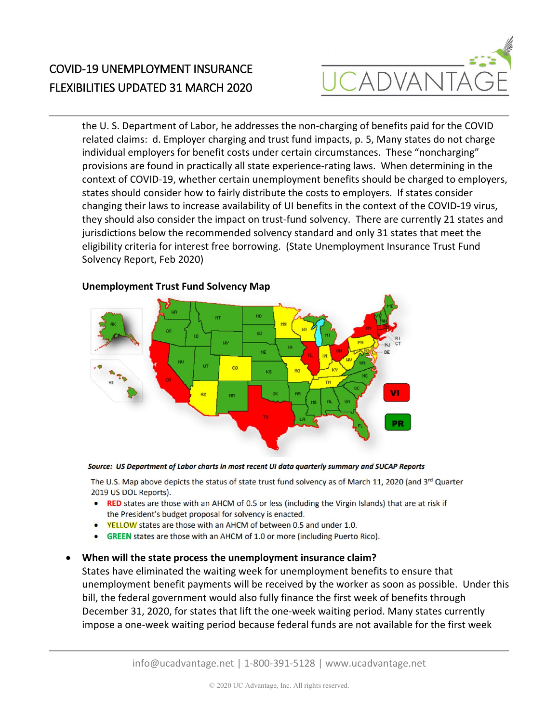

# COVID-19 UNEMPLOYMENT INSURANCE FLEXIBILITIES UPDATED 31 MARCH 2020

the U. S. Department of Labor, he addresses the non-charging of benefits paid for the COVID related claims: d. Employer charging and trust fund impacts, p. 5, Many states do not charge individual employers for benefit costs under certain circumstances. These "noncharging" provisions are found in practically all state experience-rating laws. When determining in the context of COVID-19, whether certain unemployment benefits should be charged to employers, states should consider how to fairly distribute the costs to employers. If states consider changing their laws to increase availability of UI benefits in the context of the COVID-19 virus, they should also consider the impact on trust-fund solvency. There are currently 21 states and jurisdictions below the recommended solvency standard and only 31 states that meet the eligibility criteria for interest free borrowing. (State Unemployment Insurance Trust Fund Solvency Report, Feb 2020)



#### **Unemployment Trust Fund Solvency Map**

Source: US Department of Labor charts in most recent UI data quarterly summary and SUCAP Reports

The U.S. Map above depicts the status of state trust fund solvency as of March 11, 2020 (and 3rd Quarter 2019 US DOL Reports).

- RED states are those with an AHCM of 0.5 or less (including the Virgin Islands) that are at risk if the President's budget proposal for solvency is enacted.
- YELLOW states are those with an AHCM of between 0.5 and under 1.0.
- **GREEN** states are those with an AHCM of 1.0 or more (including Puerto Rico).

#### • **When will the state process the unemployment insurance claim?**

States have eliminated the waiting week for unemployment benefits to ensure that unemployment benefit payments will be received by the worker as soon as possible. Under this bill, the federal government would also fully finance the first week of benefits through December 31, 2020, for states that lift the one-week waiting period. Many states currently impose a one-week waiting period because federal funds are not available for the first week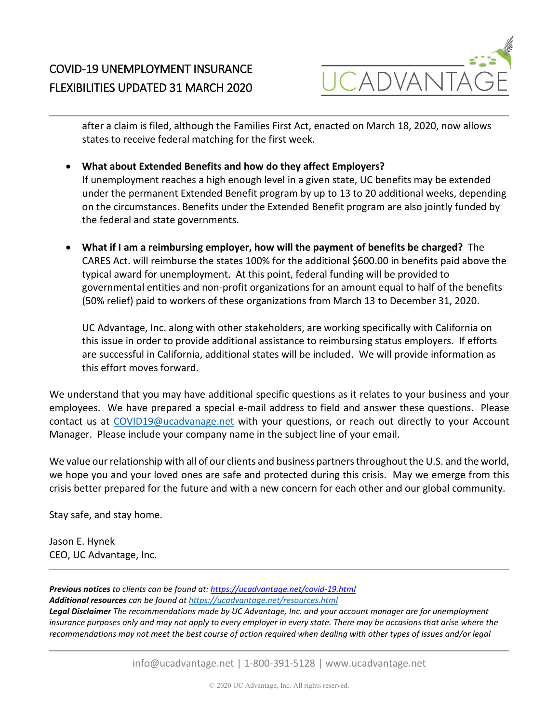

after a claim is filed, although the Families First Act, enacted on March 18, 2020, now allows states to receive federal matching for the first week.

• **What about Extended Benefits and how do they affect Employers?**

If unemployment reaches a high enough level in a given state, UC benefits may be extended under the permanent Extended Benefit program by up to 13 to 20 additional weeks, depending on the circumstances. Benefits under the Extended Benefit program are also jointly funded by the federal and state governments.

• **What if I am a reimbursing employer, how will the payment of benefits be charged?** The CARES Act. will reimburse the states 100% for the additional \$600.00 in benefits paid above the typical award for unemployment. At this point, federal funding will be provided to governmental entities and non-profit organizations for an amount equal to half of the benefits (50% relief) paid to workers of these organizations from March 13 to December 31, 2020.

UC Advantage, Inc. along with other stakeholders, are working specifically with California on this issue in order to provide additional assistance to reimbursing status employers. If efforts are successful in California, additional states will be included. We will provide information as this effort moves forward.

We understand that you may have additional specific questions as it relates to your business and your employees. We have prepared a special e-mail address to field and answer these questions. Please contact us at [COVID19@ucadvanage.net](mailto:COVID19@ucadvanage.net) with your questions, or reach out directly to your Account Manager. Please include your company name in the subject line of your email.

We value our relationship with all of our clients and business partners throughout the U.S. and the world, we hope you and your loved ones are safe and protected during this crisis. May we emerge from this crisis better prepared for the future and with a new concern for each other and our global community.

Stay safe, and stay home.

Jason E. Hynek CEO, UC Advantage, Inc.

*Previous notices to clients can be found at[: https://ucadvantage.net/covid-19.html](https://ucadvantage.net/covid-19.html) Additional resources can be found a[t https://ucadvantage.net/resources.html](https://ucadvantage.net/resources.html) Legal Disclaimer The recommendations made by UC Advantage, Inc. and your account manager are for unemployment insurance purposes only and may not apply to every employer in every state. There may be occasions that arise where the recommendations may not meet the best course of action required when dealing with other types of issues and/or legal*